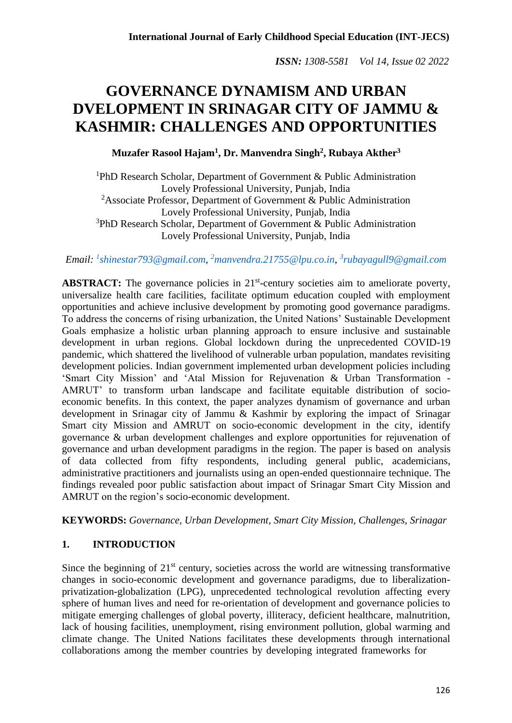# **GOVERNANCE DYNAMISM AND URBAN DVELOPMENT IN SRINAGAR CITY OF JAMMU & KASHMIR: CHALLENGES AND OPPORTUNITIES**

**Muzafer Rasool Hajam<sup>1</sup> , Dr. Manvendra Singh<sup>2</sup> , Rubaya Akther<sup>3</sup>**

<sup>1</sup>PhD Research Scholar, Department of Government  $\&$  Public Administration Lovely Professional University, Punjab, India <sup>2</sup>Associate Professor, Department of Government & Public Administration Lovely Professional University, Punjab, India  $3$ PhD Research Scholar, Department of Government & Public Administration Lovely Professional University, Punjab, India

*Email: <sup>1</sup> [shinestar793@gmail.com,](mailto:1shinestar793@gmail.com) <sup>2</sup>[manvendra.21755@lpu.co.in,](mailto:2manvendra.21755@lpu.co.in) 3 [rubayagull9@gmail.com](mailto:3rubayagull9@gmail.com)*

ABSTRACT: The governance policies in 21<sup>st</sup>-century societies aim to ameliorate poverty, universalize health care facilities, facilitate optimum education coupled with employment opportunities and achieve inclusive development by promoting good governance paradigms. To address the concerns of rising urbanization, the United Nations' Sustainable Development Goals emphasize a holistic urban planning approach to ensure inclusive and sustainable development in urban regions. Global lockdown during the unprecedented COVID-19 pandemic, which shattered the livelihood of vulnerable urban population, mandates revisiting development policies. Indian government implemented urban development policies including 'Smart City Mission' and 'Atal Mission for Rejuvenation & Urban Transformation - AMRUT' to transform urban landscape and facilitate equitable distribution of socioeconomic benefits. In this context, the paper analyzes dynamism of governance and urban development in Srinagar city of Jammu & Kashmir by exploring the impact of Srinagar Smart city Mission and AMRUT on socio-economic development in the city, identify governance & urban development challenges and explore opportunities for rejuvenation of governance and urban development paradigms in the region. The paper is based on analysis of data collected from fifty respondents, including general public, academicians, administrative practitioners and journalists using an open-ended questionnaire technique. The findings revealed poor public satisfaction about impact of Srinagar Smart City Mission and AMRUT on the region's socio-economic development.

**KEYWORDS:** *Governance, Urban Development, Smart City Mission, Challenges, Srinagar*

# **1. INTRODUCTION**

Since the beginning of  $21<sup>st</sup>$  century, societies across the world are witnessing transformative changes in socio-economic development and governance paradigms, due to liberalizationprivatization-globalization (LPG), unprecedented technological revolution affecting every sphere of human lives and need for re-orientation of development and governance policies to mitigate emerging challenges of global poverty, illiteracy, deficient healthcare, malnutrition, lack of housing facilities, unemployment, rising environment pollution, global warming and climate change. The United Nations facilitates these developments through international collaborations among the member countries by developing integrated frameworks for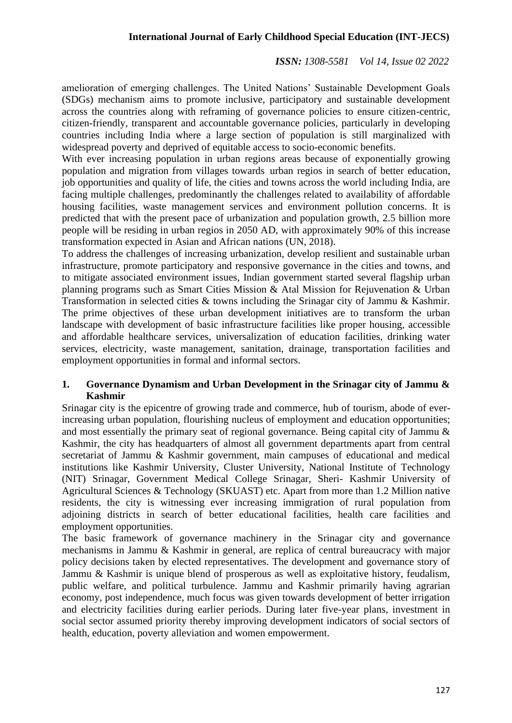# **International Journal of Early Childhood Special Education (INT-JECS)**

*ISSN: 1308-5581 Vol 14, Issue 02 2022*

amelioration of emerging challenges. The United Nations' Sustainable Development Goals (SDGs) mechanism aims to promote inclusive, participatory and sustainable development across the countries along with reframing of governance policies to ensure citizen-centric, citizen-friendly, transparent and accountable governance policies, particularly in developing countries including India where a large section of population is still marginalized with widespread poverty and deprived of equitable access to socio-economic benefits.

With ever increasing population in urban regions areas because of exponentially growing population and migration from villages towards urban regios in search of better education, job opportunities and quality of life, the cities and towns across the world including India, are facing multiple challenges, predominantly the challenges related to availability of affordable housing facilities, waste management services and environment pollution concerns. It is predicted that with the present pace of urbanization and population growth, 2.5 billion more people will be residing in urban regios in 2050 AD, with approximately 90% of this increase transformation expected in Asian and African nations (UN, 2018).

To address the challenges of increasing urbanization, develop resilient and sustainable urban infrastructure, promote participatory and responsive governance in the cities and towns, and to mitigate associated environment issues, Indian government started several flagship urban planning programs such as Smart Cities Mission & Atal Mission for Rejuvenation & Urban Transformation in selected cities & towns including the Srinagar city of Jammu & Kashmir. The prime objectives of these urban development initiatives are to transform the urban landscape with development of basic infrastructure facilities like proper housing, accessible and affordable healthcare services, universalization of education facilities, drinking water services, electricity, waste management, sanitation, drainage, transportation facilities and employment opportunities in formal and informal sectors.

### **1. Governance Dynamism and Urban Development in the Srinagar city of Jammu & Kashmir**

Srinagar city is the epicentre of growing trade and commerce, hub of tourism, abode of everincreasing urban population, flourishing nucleus of employment and education opportunities; and most essentially the primary seat of regional governance. Being capital city of Jammu & Kashmir, the city has headquarters of almost all government departments apart from central secretariat of Jammu & Kashmir government, main campuses of educational and medical institutions like Kashmir University, Cluster University, National Institute of Technology (NIT) Srinagar, Government Medical College Srinagar, Sheri- Kashmir University of Agricultural Sciences & Technology (SKUAST) etc. Apart from more than 1.2 Million native residents, the city is witnessing ever increasing immigration of rural population from adjoining districts in search of better educational facilities, health care facilities and employment opportunities.

The basic framework of governance machinery in the Srinagar city and governance mechanisms in Jammu & Kashmir in general, are replica of central bureaucracy with major policy decisions taken by elected representatives. The development and governance story of Jammu & Kashmir is unique blend of prosperous as well as exploitative history, feudalism, public welfare, and political turbulence. Jammu and Kashmir primarily having agrarian economy, post independence, much focus was given towards development of better irrigation and electricity facilities during earlier periods. During later five-year plans, investment in social sector assumed priority thereby improving development indicators of social sectors of health, education, poverty alleviation and women empowerment.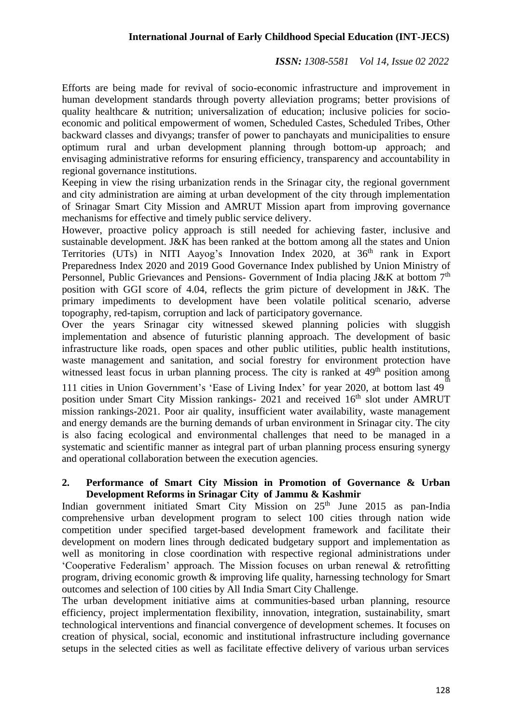Efforts are being made for revival of socio-economic infrastructure and improvement in human development standards through poverty alleviation programs; better provisions of quality healthcare & nutrition; universalization of education; inclusive policies for socioeconomic and political empowerment of women, Scheduled Castes, Scheduled Tribes, Other backward classes and divyangs; transfer of power to panchayats and municipalities to ensure optimum rural and urban development planning through bottom-up approach; and envisaging administrative reforms for ensuring efficiency, transparency and accountability in regional governance institutions.

Keeping in view the rising urbanization rends in the Srinagar city, the regional government and city administration are aiming at urban development of the city through implementation of Srinagar Smart City Mission and AMRUT Mission apart from improving governance mechanisms for effective and timely public service delivery.

However, proactive policy approach is still needed for achieving faster, inclusive and sustainable development. J&K has been ranked at the bottom among all the states and Union Territories (UTs) in NITI Aayog's Innovation Index 2020, at 36<sup>th</sup> rank in Export Preparedness Index 2020 and 2019 Good Governance Index published by Union Ministry of Personnel, Public Grievances and Pensions- Government of India placing J&K at bottom 7<sup>th</sup> position with GGI score of 4.04, reflects the grim picture of development in J&K. The primary impediments to development have been volatile political scenario, adverse topography, red-tapism, corruption and lack of participatory governance.

Over the years Srinagar city witnessed skewed planning policies with sluggish implementation and absence of futuristic planning approach. The development of basic infrastructure like roads, open spaces and other public utilities, public health institutions, waste management and sanitation, and social forestry for environment protection have witnessed least focus in urban planning process. The city is ranked at 49<sup>th</sup> position among

111 cities in Union Government's 'Ease of Living Index' for year 2020, at bottom last 49<sup>th</sup> position under Smart City Mission rankings-  $2021$  and received  $16<sup>th</sup>$  slot under AMRUT mission rankings-2021. Poor air quality, insufficient water availability, waste management and energy demands are the burning demands of urban environment in Srinagar city. The city is also facing ecological and environmental challenges that need to be managed in a systematic and scientific manner as integral part of urban planning process ensuring synergy and operational collaboration between the execution agencies.

#### **2. Performance of Smart City Mission in Promotion of Governance & Urban Development Reforms in Srinagar City of Jammu & Kashmir**

Indian government initiated Smart City Mission on 25<sup>th</sup> June 2015 as pan-India comprehensive urban development program to select 100 cities through nation wide competition under specified target-based development framework and facilitate their development on modern lines through dedicated budgetary support and implementation as well as monitoring in close coordination with respective regional administrations under 'Cooperative Federalism' approach. The Mission focuses on urban renewal & retrofitting program, driving economic growth & improving life quality, harnessing technology for Smart outcomes and selection of 100 cities by All India Smart City Challenge.

The urban development initiative aims at communities-based urban planning, resource efficiency, project implermentation flexibility, innovation, integration, sustainability, smart technological interventions and financial convergence of development schemes. It focuses on creation of physical, social, economic and institutional infrastructure including governance setups in the selected cities as well as facilitate effective delivery of various urban services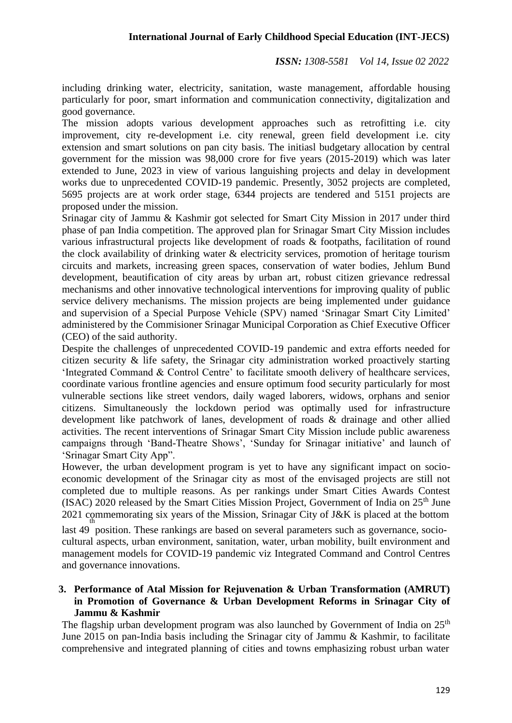including drinking water, electricity, sanitation, waste management, affordable housing particularly for poor, smart information and communication connectivity, digitalization and good governance.

The mission adopts various development approaches such as retrofitting i.e. city improvement, city re-development i.e. city renewal, green field development i.e. city extension and smart solutions on pan city basis. The initiasl budgetary allocation by central government for the mission was 98,000 crore for five years (2015-2019) which was later extended to June, 2023 in view of various languishing projects and delay in development works due to unprecedented COVID-19 pandemic. Presently, 3052 projects are completed, 5695 projects are at work order stage, 6344 projects are tendered and 5151 projects are proposed under the mission.

Srinagar city of Jammu & Kashmir got selected for Smart City Mission in 2017 under third phase of pan India competition. The approved plan for Srinagar Smart City Mission includes various infrastructural projects like development of roads & footpaths, facilitation of round the clock availability of drinking water & electricity services, promotion of heritage tourism circuits and markets, increasing green spaces, conservation of water bodies, Jehlum Bund development, beautification of city areas by urban art, robust citizen grievance redressal mechanisms and other innovative technological interventions for improving quality of public service delivery mechanisms. The mission projects are being implemented under guidance and supervision of a Special Purpose Vehicle (SPV) named 'Srinagar Smart City Limited' administered by the Commisioner Srinagar Municipal Corporation as Chief Executive Officer (CEO) of the said authority.

Despite the challenges of unprecedented COVID-19 pandemic and extra efforts needed for citizen security & life safety, the Srinagar city administration worked proactively starting 'Integrated Command & Control Centre' to facilitate smooth delivery of healthcare services, coordinate various frontline agencies and ensure optimum food security particularly for most vulnerable sections like street vendors, daily waged laborers, widows, orphans and senior citizens. Simultaneously the lockdown period was optimally used for infrastructure development like patchwork of lanes, development of roads & drainage and other allied activities. The recent interventions of Srinagar Smart City Mission include public awareness campaigns through 'Band-Theatre Shows', 'Sunday for Srinagar initiative' and launch of 'Srinagar Smart City App".

However, the urban development program is yet to have any significant impact on socioeconomic development of the Srinagar city as most of the envisaged projects are still not completed due to multiple reasons. As per rankings under Smart Cities Awards Contest (ISAC) 2020 released by the Smart Cities Mission Project, Government of India on  $25<sup>th</sup>$  June 2021 commemorating six years of the Mission, Srinagar City of J&K is placed at the bottom

last 49 position. These rankings are based on several parameters such as governance, sociocultural aspects, urban environment, sanitation, water, urban mobility, built environment and management models for COVID-19 pandemic viz Integrated Command and Control Centres and governance innovations.

### **3. Performance of Atal Mission for Rejuvenation & Urban Transformation (AMRUT) in Promotion of Governance & Urban Development Reforms in Srinagar City of Jammu & Kashmir**

The flagship urban development program was also launched by Government of India on  $25<sup>th</sup>$ June 2015 on pan-India basis including the Srinagar city of Jammu & Kashmir, to facilitate comprehensive and integrated planning of cities and towns emphasizing robust urban water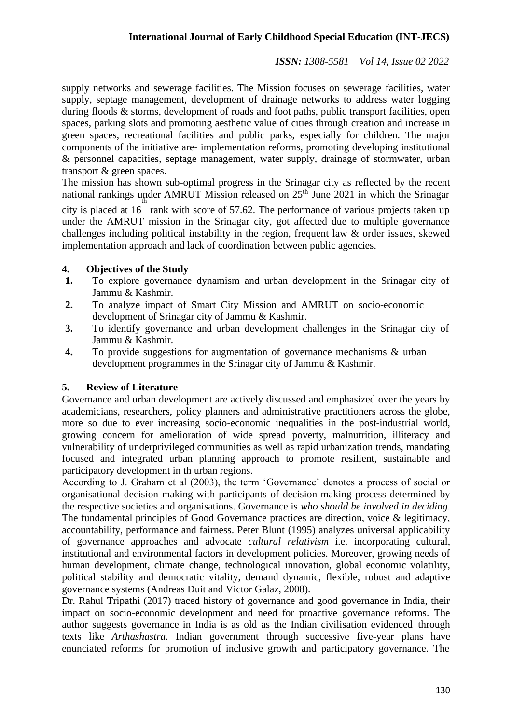supply networks and sewerage facilities. The Mission focuses on sewerage facilities, water supply, septage management, development of drainage networks to address water logging during floods & storms, development of roads and foot paths, public transport facilities, open spaces, parking slots and promoting aesthetic value of cities through creation and increase in green spaces, recreational facilities and public parks, especially for children. The major components of the initiative are- implementation reforms, promoting developing institutional & personnel capacities, septage management, water supply, drainage of stormwater, urban transport & green spaces.

The mission has shown sub-optimal progress in the Srinagar city as reflected by the recent national rankings under AMRUT Mission released on  $25<sup>th</sup>$  June 2021 in which the Srinagar city is placed at 16 rank with score of 57.62. The performance of various projects taken up

under the AMRUT mission in the Srinagar city, got affected due to multiple governance challenges including political instability in the region, frequent law & order issues, skewed implementation approach and lack of coordination between public agencies.

# **4. Objectives of the Study**

- **1.** To explore governance dynamism and urban development in the Srinagar city of Jammu & Kashmir.
- **2.** To analyze impact of Smart City Mission and AMRUT on socio-economic development of Srinagar city of Jammu & Kashmir.
- **3.** To identify governance and urban development challenges in the Srinagar city of Jammu & Kashmir.
- **4.** To provide suggestions for augmentation of governance mechanisms & urban development programmes in the Srinagar city of Jammu & Kashmir.

# **5. Review of Literature**

Governance and urban development are actively discussed and emphasized over the years by academicians, researchers, policy planners and administrative practitioners across the globe, more so due to ever increasing socio-economic inequalities in the post-industrial world, growing concern for amelioration of wide spread poverty, malnutrition, illiteracy and vulnerability of underprivileged communities as well as rapid urbanization trends, mandating focused and integrated urban planning approach to promote resilient, sustainable and participatory development in th urban regions.

According to J. Graham et al (2003), the term 'Governance' denotes a process of social or organisational decision making with participants of decision-making process determined by the respective societies and organisations. Governance is *who should be involved in deciding*. The fundamental principles of Good Governance practices are direction, voice & legitimacy, accountability, performance and fairness. Peter Blunt (1995) analyzes universal applicability of governance approaches and advocate *cultural relativism* i.e. incorporating cultural, institutional and environmental factors in development policies. Moreover, growing needs of human development, climate change, technological innovation, global economic volatility, political stability and democratic vitality, demand dynamic, flexible, robust and adaptive governance systems (Andreas Duit and Victor Galaz, 2008).

Dr. Rahul Tripathi (2017) traced history of governance and good governance in India, their impact on socio-economic development and need for proactive governance reforms. The author suggests governance in India is as old as the Indian civilisation evidenced through texts like *Arthashastra.* Indian government through successive five-year plans have enunciated reforms for promotion of inclusive growth and participatory governance. The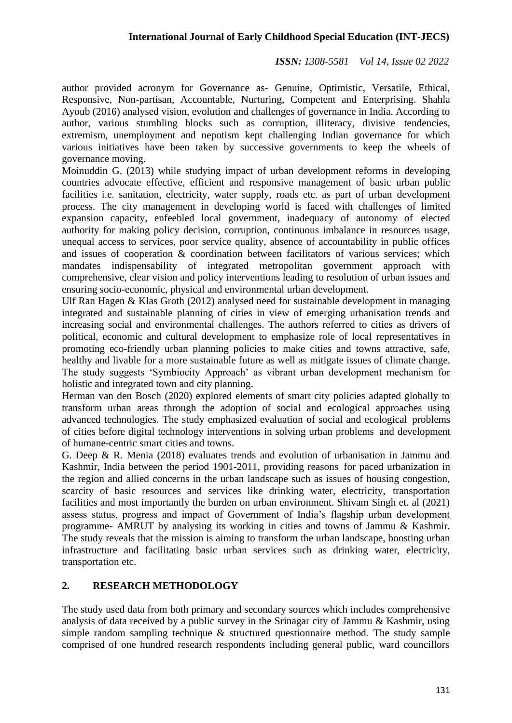author provided acronym for Governance as- Genuine, Optimistic, Versatile, Ethical, Responsive, Non-partisan, Accountable, Nurturing, Competent and Enterprising. Shahla Ayoub (2016) analysed vision, evolution and challenges of governance in India. According to author, various stumbling blocks such as corruption, illiteracy, divisive tendencies, extremism, unemployment and nepotism kept challenging Indian governance for which various initiatives have been taken by successive governments to keep the wheels of governance moving.

Moinuddin G. (2013) while studying impact of urban development reforms in developing countries advocate effective, efficient and responsive management of basic urban public facilities i.e. sanitation, electricity, water supply, roads etc. as part of urban development process. The city management in developing world is faced with challenges of limited expansion capacity, enfeebled local government, inadequacy of autonomy of elected authority for making policy decision, corruption, continuous imbalance in resources usage, unequal access to services, poor service quality, absence of accountability in public offices and issues of cooperation & coordination between facilitators of various services; which mandates indispensability of integrated metropolitan government approach with comprehensive, clear vision and policy interventions leading to resolution of urban issues and ensuring socio-economic, physical and environmental urban development.

Ulf Ran Hagen & Klas Groth (2012) analysed need for sustainable development in managing integrated and sustainable planning of cities in view of emerging urbanisation trends and increasing social and environmental challenges. The authors referred to cities as drivers of political, economic and cultural development to emphasize role of local representatives in promoting eco-friendly urban planning policies to make cities and towns attractive, safe, healthy and livable for a more sustainable future as well as mitigate issues of climate change. The study suggests 'Symbiocity Approach' as vibrant urban development mechanism for holistic and integrated town and city planning.

Herman van den Bosch (2020) explored elements of smart city policies adapted globally to transform urban areas through the adoption of social and ecological approaches using advanced technologies. The study emphasized evaluation of social and ecological problems of cities before digital technology interventions in solving urban problems and development of humane-centric smart cities and towns.

G. Deep & R. Menia (2018) evaluates trends and evolution of urbanisation in Jammu and Kashmir, India between the period 1901-2011, providing reasons for paced urbanization in the region and allied concerns in the urban landscape such as issues of housing congestion, scarcity of basic resources and services like drinking water, electricity, transportation facilities and most importantly the burden on urban environment. Shivam Singh et. al (2021) assess status, progress and impact of Government of India's flagship urban development programme- AMRUT by analysing its working in cities and towns of Jammu & Kashmir. The study reveals that the mission is aiming to transform the urban landscape, boosting urban infrastructure and facilitating basic urban services such as drinking water, electricity, transportation etc.

# **2. RESEARCH METHODOLOGY**

The study used data from both primary and secondary sources which includes comprehensive analysis of data received by a public survey in the Srinagar city of Jammu & Kashmir, using simple random sampling technique & structured questionnaire method. The study sample comprised of one hundred research respondents including general public, ward councillors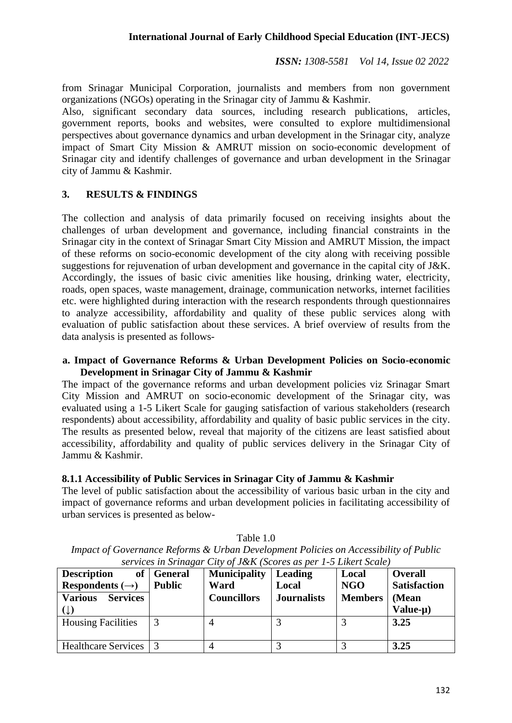from Srinagar Municipal Corporation, journalists and members from non government organizations (NGOs) operating in the Srinagar city of Jammu & Kashmir.

Also, significant secondary data sources, including research publications, articles, government reports, books and websites, were consulted to explore multidimensional perspectives about governance dynamics and urban development in the Srinagar city, analyze impact of Smart City Mission & AMRUT mission on socio-economic development of Srinagar city and identify challenges of governance and urban development in the Srinagar city of Jammu & Kashmir.

# **3. RESULTS & FINDINGS**

The collection and analysis of data primarily focused on receiving insights about the challenges of urban development and governance, including financial constraints in the Srinagar city in the context of Srinagar Smart City Mission and AMRUT Mission, the impact of these reforms on socio-economic development of the city along with receiving possible suggestions for rejuvenation of urban development and governance in the capital city of J&K. Accordingly, the issues of basic civic amenities like housing, drinking water, electricity, roads, open spaces, waste management, drainage, communication networks, internet facilities etc. were highlighted during interaction with the research respondents through questionnaires to analyze accessibility, affordability and quality of these public services along with evaluation of public satisfaction about these services. A brief overview of results from the data analysis is presented as follows-

### **a. Impact of Governance Reforms & Urban Development Policies on Socio-economic Development in Srinagar City of Jammu & Kashmir**

The impact of the governance reforms and urban development policies viz Srinagar Smart City Mission and AMRUT on socio-economic development of the Srinagar city, was evaluated using a 1-5 Likert Scale for gauging satisfaction of various stakeholders (research respondents) about accessibility, affordability and quality of basic public services in the city. The results as presented below, reveal that majority of the citizens are least satisfied about accessibility, affordability and quality of public services delivery in the Srinagar City of Jammu & Kashmir.

# **8.1.1 Accessibility of Public Services in Srinagar City of Jammu & Kashmir**

The level of public satisfaction about the accessibility of various basic urban in the city and impact of governance reforms and urban development policies in facilitating accessibility of urban services is presented as below-

| services in stindgar City of J&K (Scores as per 1-9 Likeri Scale) |               |                     |                    |                |                     |  |
|-------------------------------------------------------------------|---------------|---------------------|--------------------|----------------|---------------------|--|
| <b>Description</b>                                                | of   General  | <b>Municipality</b> | Leading            | Local          | <b>Overall</b>      |  |
| Respondents $(\rightarrow)$                                       | <b>Public</b> | Ward                | Local              | <b>NGO</b>     | <b>Satisfaction</b> |  |
| <b>Various</b><br><b>Services</b>                                 |               | <b>Councillors</b>  | <b>Journalists</b> | <b>Members</b> | (Mean               |  |
|                                                                   |               |                     |                    |                | Value-µ)            |  |
| <b>Housing Facilities</b>                                         |               |                     |                    |                | 3.25                |  |
| Healthcare Services 3                                             |               |                     |                    |                | 3.25                |  |

Table 1.0 *Impact of Governance Reforms & Urban Development Policies on Accessibility of Public services in Srinagar City of J&K (Scores as per 1-5 Likert Scale)*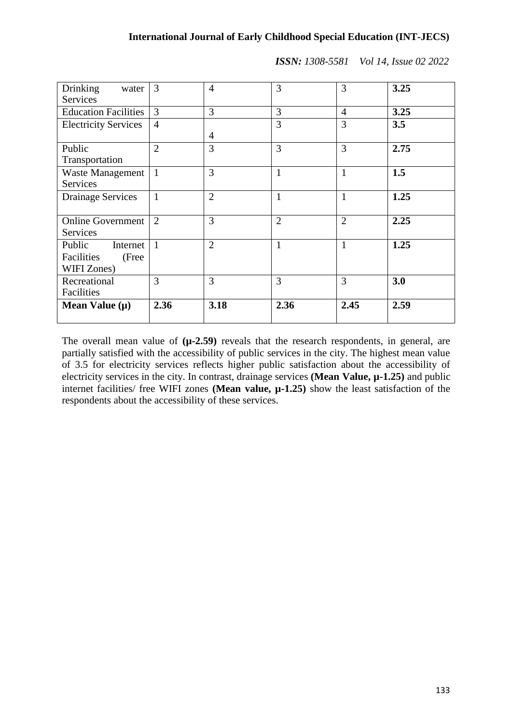| Drinking<br>water<br><b>Services</b>                     | 3              | 4              | 3              | 3              | 3.25 |
|----------------------------------------------------------|----------------|----------------|----------------|----------------|------|
| <b>Education Facilities</b>                              | 3              | 3              | 3              | $\overline{4}$ | 3.25 |
| <b>Electricity Services</b>                              | $\overline{4}$ | 4              | 3              | 3              | 3.5  |
| Public<br>Transportation                                 | $\overline{2}$ | 3              | 3              | 3              | 2.75 |
| <b>Waste Management</b><br>Services                      | $\overline{1}$ | 3              | $\mathbf{1}$   | $\mathbf{1}$   | 1.5  |
| <b>Drainage Services</b>                                 | $\mathbf{1}$   | $\overline{2}$ | $\mathbf{1}$   | $\mathbf{1}$   | 1.25 |
| <b>Online Government</b><br>Services                     | 2              | 3              | $\overline{2}$ | $\overline{2}$ | 2.25 |
| Public<br>Internet<br>Facilities<br>(Free<br>WIFI Zones) | $\overline{1}$ | $\overline{2}$ | $\mathbf{1}$   | $\mathbf{1}$   | 1.25 |
| Recreational<br>Facilities                               | 3              | 3              | 3              | 3              | 3.0  |
| Mean Value $(\mu)$                                       | 2.36           | 3.18           | 2.36           | 2.45           | 2.59 |

The overall mean value of  $(\mu$ -2.59) reveals that the research respondents, in general, are partially satisfied with the accessibility of public services in the city. The highest mean value of 3.5 for electricity services reflects higher public satisfaction about the accessibility of electricity services in the city. In contrast, drainage services **(Mean Value, µ-1.25)** and public internet facilities/ free WIFI zones **(Mean value, µ-1.25)** show the least satisfaction of the respondents about the accessibility of these services.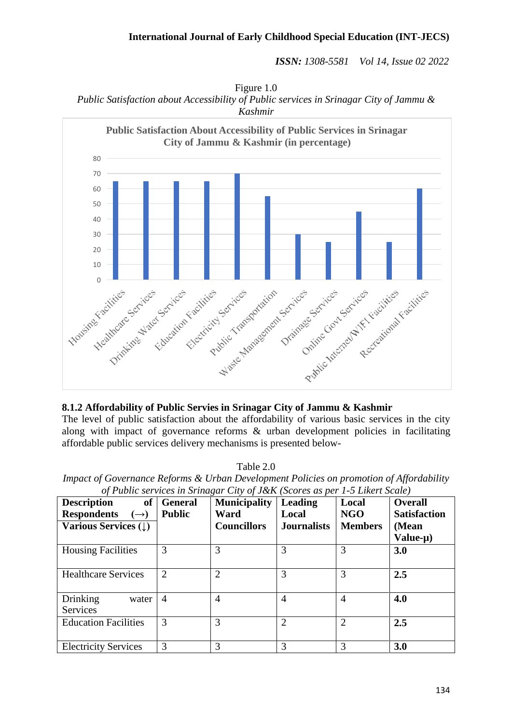Figure 1.0 *Public Satisfaction about Accessibility of Public services in Srinagar City of Jammu & Kashmir*



# **8.1.2 Affordability of Public Servies in Srinagar City of Jammu & Kashmir**

The level of public satisfaction about the affordability of various basic services in the city along with impact of governance reforms & urban development policies in facilitating affordable public services delivery mechanisms is presented below-

Table 2.0

| Impact of Governance Reforms & Urban Development Policies on promotion of Affordability |  |
|-----------------------------------------------------------------------------------------|--|
| of Public services in Srinagar City of J&K (Scores as per 1-5 Likert Scale)             |  |

| <b>Description</b><br><b>of</b><br><b>Respondents</b><br>$\rightarrow)$<br><b>Various Services (1)</b> | <b>General</b><br><b>Public</b> | $\cup$<br><b>Municipality</b><br>Ward<br><b>Councillors</b> | <b>Leading</b><br>Local<br><b>Journalists</b> | Local<br><b>NGO</b><br><b>Members</b> | <b>Overall</b><br><b>Satisfaction</b><br>(Mean<br>Value-µ) |
|--------------------------------------------------------------------------------------------------------|---------------------------------|-------------------------------------------------------------|-----------------------------------------------|---------------------------------------|------------------------------------------------------------|
| <b>Housing Facilities</b>                                                                              | 3                               | 3                                                           | 3                                             | 3                                     | 3.0                                                        |
| <b>Healthcare Services</b>                                                                             | $\overline{2}$                  | $\overline{2}$                                              | 3                                             | 3                                     | 2.5                                                        |
| Drinking<br>water<br>Services                                                                          | $\overline{4}$                  | $\overline{4}$                                              | $\overline{A}$                                | 4                                     | 4.0                                                        |
| <b>Education Facilities</b>                                                                            | 3                               | 3                                                           | $\overline{2}$                                | $\overline{2}$                        | 2.5                                                        |
| <b>Electricity Services</b>                                                                            | 3                               | 3                                                           | 3                                             | 3                                     | 3.0                                                        |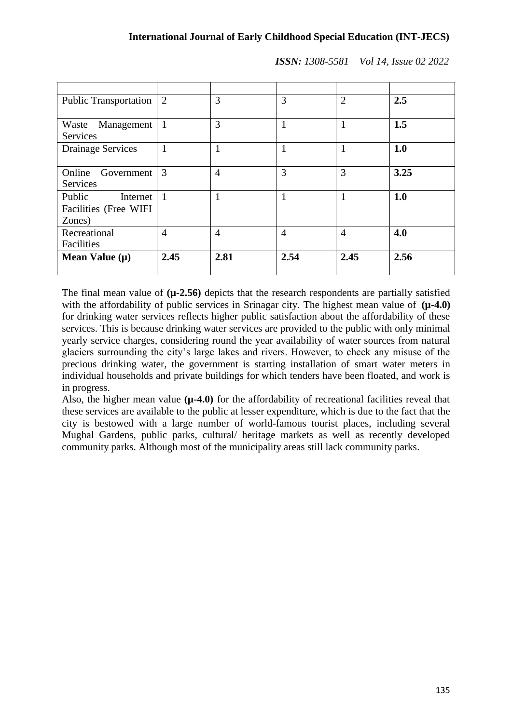| <b>Public Transportation</b>                          | 2              | 3              | 3              | $\overline{2}$ | 2.5  |
|-------------------------------------------------------|----------------|----------------|----------------|----------------|------|
| Management<br>Waste<br><b>Services</b>                | -1             | 3              |                | 1              | 1.5  |
| <b>Drainage Services</b>                              |                |                |                | 1              | 1.0  |
| Online<br>Government<br>Services                      | 3              | $\overline{4}$ | 3              | 3              | 3.25 |
| Public<br>Internet<br>Facilities (Free WIFI<br>Zones) | $\overline{1}$ | 1              | 1              | 1              | 1.0  |
| Recreational<br>Facilities                            | $\overline{4}$ | $\overline{4}$ | $\overline{4}$ | $\overline{4}$ | 4.0  |
| Mean Value $(\mu)$                                    | 2.45           | 2.81           | 2.54           | 2.45           | 2.56 |

The final mean value of **(µ-2.56)** depicts that the research respondents are partially satisfied with the affordability of public services in Srinagar city. The highest mean value of  $(\mu$ -4.0) for drinking water services reflects higher public satisfaction about the affordability of these services. This is because drinking water services are provided to the public with only minimal yearly service charges, considering round the year availability of water sources from natural glaciers surrounding the city's large lakes and rivers. However, to check any misuse of the precious drinking water, the government is starting installation of smart water meters in individual households and private buildings for which tenders have been floated, and work is in progress.

Also, the higher mean value ( $\mu$ -4.0) for the affordability of recreational facilities reveal that these services are available to the public at lesser expenditure, which is due to the fact that the city is bestowed with a large number of world-famous tourist places, including several Mughal Gardens, public parks, cultural/ heritage markets as well as recently developed community parks. Although most of the municipality areas still lack community parks.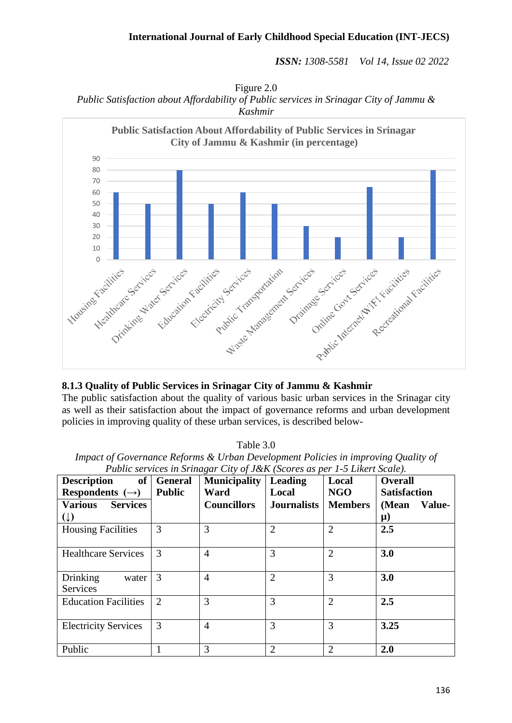#### **International Journal of Early Childhood Special Education (INT-JECS)**

*ISSN: 1308-5581 Vol 14, Issue 02 2022*

Figure 2.0 *Public Satisfaction about Affordability of Public services in Srinagar City of Jammu & Kashmir*



#### **8.1.3 Quality of Public Services in Srinagar City of Jammu & Kashmir**

The public satisfaction about the quality of various basic urban services in the Srinagar city as well as their satisfaction about the impact of governance reforms and urban development policies in improving quality of these urban services, is described below-

Table 3.0

| escription                                                                        |  | of   General   Municipality   Leading |  | Local | Overall |  |
|-----------------------------------------------------------------------------------|--|---------------------------------------|--|-------|---------|--|
| Public services in Srinagar City of J&K (Scores as per 1-5 Likert Scale).         |  |                                       |  |       |         |  |
| Impact of Governance Reforms & Urban Development Policies in improving Quality of |  |                                       |  |       |         |  |

| <b>Description</b><br><b>of</b>        | <b>General</b> | <b>Municipality</b> | Leading            | Local          | <b>Overall</b>      |
|----------------------------------------|----------------|---------------------|--------------------|----------------|---------------------|
| Respondents $(\rightarrow)$            | <b>Public</b>  | Ward                | Local              | NGO            | <b>Satisfaction</b> |
| <b>Various</b><br><b>Services</b>      |                | <b>Councillors</b>  | <b>Journalists</b> | <b>Members</b> | (Mean<br>Value-     |
| $(\downarrow)$                         |                |                     |                    |                | $\mu$ )             |
| <b>Housing Facilities</b>              | 3              | 3                   | $\overline{2}$     | $\overline{2}$ | 2.5                 |
| <b>Healthcare Services</b>             | 3              | $\overline{4}$      | 3                  | $\overline{2}$ | 3.0                 |
| Drinking<br>water  <br><b>Services</b> | 3              | $\overline{4}$      | $\overline{2}$     | 3              | 3.0                 |
| <b>Education Facilities</b>            | 2              | 3                   | 3                  | $\overline{2}$ | 2.5                 |
| <b>Electricity Services</b>            | 3              | $\overline{4}$      | 3                  | 3              | 3.25                |
| Public                                 |                | 3                   | $\overline{2}$     | 2              | 2.0                 |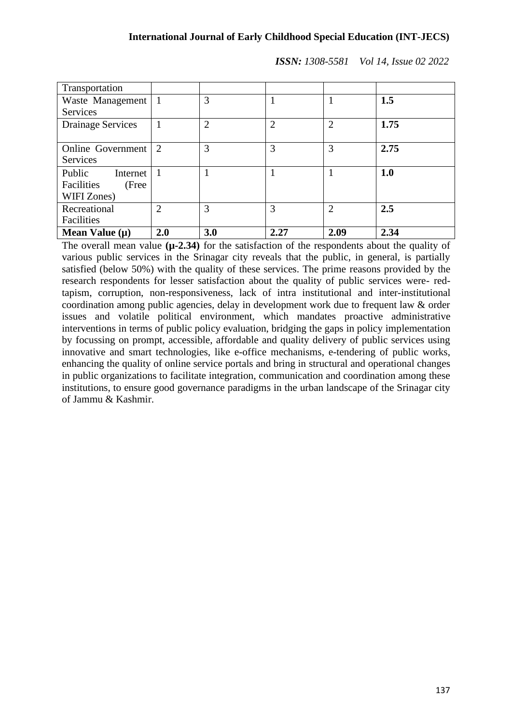| Transportation           |                |                |                |                |      |
|--------------------------|----------------|----------------|----------------|----------------|------|
| Waste Management         |                | 3              |                |                | 1.5  |
| Services                 |                |                |                |                |      |
| <b>Drainage Services</b> |                | $\overline{2}$ | $\overline{2}$ | $\overline{2}$ | 1.75 |
|                          |                |                |                |                |      |
| Online Government        | $\overline{2}$ | 3              | 3              | 3              | 2.75 |
| <b>Services</b>          |                |                |                |                |      |
| Public<br>Internet       |                |                |                |                | 1.0  |
| Facilities<br>(Free      |                |                |                |                |      |
| WIFI Zones)              |                |                |                |                |      |
| Recreational             | $\overline{2}$ | 3              | 3              | $\overline{2}$ | 2.5  |
| Facilities               |                |                |                |                |      |
| Mean Value $(\mu)$       | 2.0            | 3.0            | 2.27           | 2.09           | 2.34 |

The overall mean value **(µ-2.34)** for the satisfaction of the respondents about the quality of various public services in the Srinagar city reveals that the public, in general, is partially satisfied (below 50%) with the quality of these services. The prime reasons provided by the research respondents for lesser satisfaction about the quality of public services were- redtapism, corruption, non-responsiveness, lack of intra institutional and inter-institutional coordination among public agencies, delay in development work due to frequent law & order issues and volatile political environment, which mandates proactive administrative interventions in terms of public policy evaluation, bridging the gaps in policy implementation by focussing on prompt, accessible, affordable and quality delivery of public services using innovative and smart technologies, like e-office mechanisms, e-tendering of public works, enhancing the quality of online service portals and bring in structural and operational changes in public organizations to facilitate integration, communication and coordination among these institutions, to ensure good governance paradigms in the urban landscape of the Srinagar city of Jammu & Kashmir.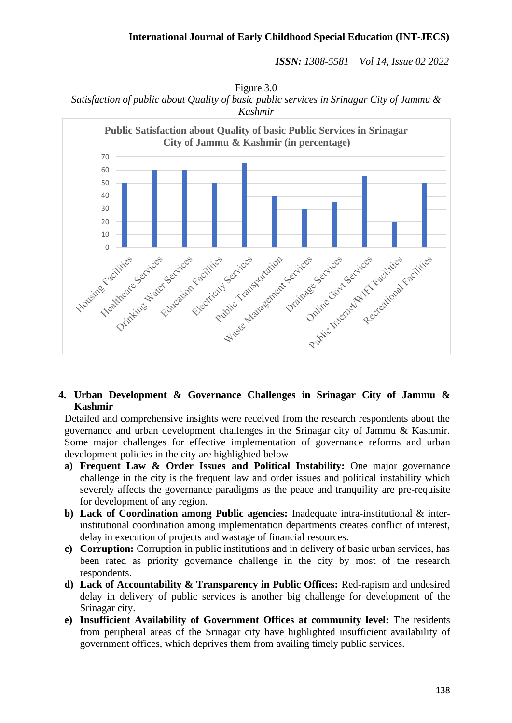Figure 3.0 *Satisfaction of public about Quality of basic public services in Srinagar City of Jammu & Kashmir*



### **4. Urban Development & Governance Challenges in Srinagar City of Jammu & Kashmir**

Detailed and comprehensive insights were received from the research respondents about the governance and urban development challenges in the Srinagar city of Jammu & Kashmir. Some major challenges for effective implementation of governance reforms and urban development policies in the city are highlighted below-

- **a) Frequent Law & Order Issues and Political Instability:** One major governance challenge in the city is the frequent law and order issues and political instability which severely affects the governance paradigms as the peace and tranquility are pre-requisite for development of any region.
- **b) Lack of Coordination among Public agencies:** Inadequate intra-institutional & interinstitutional coordination among implementation departments creates conflict of interest, delay in execution of projects and wastage of financial resources.
- **c) Corruption:** Corruption in public institutions and in delivery of basic urban services, has been rated as priority governance challenge in the city by most of the research respondents.
- **d) Lack of Accountability & Transparency in Public Offices:** Red-rapism and undesired delay in delivery of public services is another big challenge for development of the Srinagar city.
- **e) Insufficient Availability of Government Offices at community level:** The residents from peripheral areas of the Srinagar city have highlighted insufficient availability of government offices, which deprives them from availing timely public services.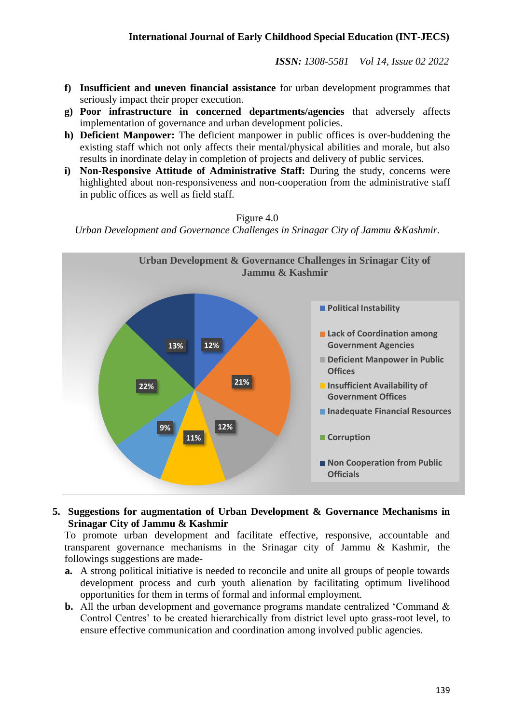- **f) Insufficient and uneven financial assistance** for urban development programmes that seriously impact their proper execution.
- **g) Poor infrastructure in concerned departments/agencies** that adversely affects implementation of governance and urban development policies.
- **h) Deficient Manpower:** The deficient manpower in public offices is over-buddening the existing staff which not only affects their mental/physical abilities and morale, but also results in inordinate delay in completion of projects and delivery of public services.
- **i) Non-Responsive Attitude of Administrative Staff:** During the study, concerns were highlighted about non-responsiveness and non-cooperation from the administrative staff in public offices as well as field staff.

#### Figure 4.0

*Urban Development and Governance Challenges in Srinagar City of Jammu &Kashmir.*



### **5. Suggestions for augmentation of Urban Development & Governance Mechanisms in Srinagar City of Jammu & Kashmir**

To promote urban development and facilitate effective, responsive, accountable and transparent governance mechanisms in the Srinagar city of Jammu & Kashmir, the followings suggestions are made-

- **a.** A strong political initiative is needed to reconcile and unite all groups of people towards development process and curb youth alienation by facilitating optimum livelihood opportunities for them in terms of formal and informal employment.
- **b.** All the urban development and governance programs mandate centralized 'Command & Control Centres' to be created hierarchically from district level upto grass-root level, to ensure effective communication and coordination among involved public agencies.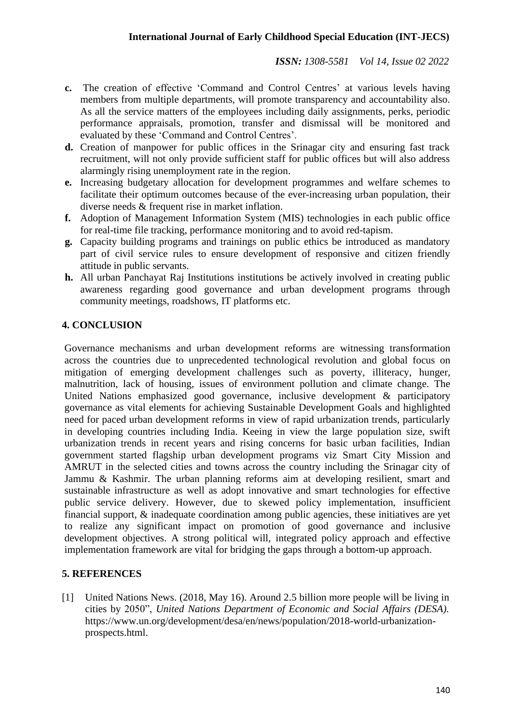- **c.** The creation of effective 'Command and Control Centres' at various levels having members from multiple departments, will promote transparency and accountability also. As all the service matters of the employees including daily assignments, perks, periodic performance appraisals, promotion, transfer and dismissal will be monitored and evaluated by these 'Command and Control Centres'.
- **d.** Creation of manpower for public offices in the Srinagar city and ensuring fast track recruitment, will not only provide sufficient staff for public offices but will also address alarmingly rising unemployment rate in the region.
- **e.** Increasing budgetary allocation for development programmes and welfare schemes to facilitate their optimum outcomes because of the ever-increasing urban population, their diverse needs & frequent rise in market inflation.
- **f.** Adoption of Management Information System (MIS) technologies in each public office for real-time file tracking, performance monitoring and to avoid red-tapism.
- **g.** Capacity building programs and trainings on public ethics be introduced as mandatory part of civil service rules to ensure development of responsive and citizen friendly attitude in public servants.
- **h.** All urban Panchayat Raj Institutions institutions be actively involved in creating public awareness regarding good governance and urban development programs through community meetings, roadshows, IT platforms etc.

# **4. CONCLUSION**

Governance mechanisms and urban development reforms are witnessing transformation across the countries due to unprecedented technological revolution and global focus on mitigation of emerging development challenges such as poverty, illiteracy, hunger, malnutrition, lack of housing, issues of environment pollution and climate change. The United Nations emphasized good governance, inclusive development & participatory governance as vital elements for achieving Sustainable Development Goals and highlighted need for paced urban development reforms in view of rapid urbanization trends, particularly in developing countries including India. Keeing in view the large population size, swift urbanization trends in recent years and rising concerns for basic urban facilities, Indian government started flagship urban development programs viz Smart City Mission and AMRUT in the selected cities and towns across the country including the Srinagar city of Jammu & Kashmir. The urban planning reforms aim at developing resilient, smart and sustainable infrastructure as well as adopt innovative and smart technologies for effective public service delivery. However, due to skewed policy implementation, insufficient financial support, & inadequate coordination among public agencies, these initiatives are yet to realize any significant impact on promotion of good governance and inclusive development objectives. A strong political will, integrated policy approach and effective implementation framework are vital for bridging the gaps through a bottom-up approach.

# **5. REFERENCES**

[1] United Nations News. (2018, May 16). Around 2.5 billion more people will be living in cities by 2050", *United Nations Department of Economic and Social Affairs (DESA).* https:[//www.un.org/development/desa/en/news/population/2018-world-urbanization](http://www.un.org/development/desa/en/news/population/2018-world-urbanization-)prospects.html.